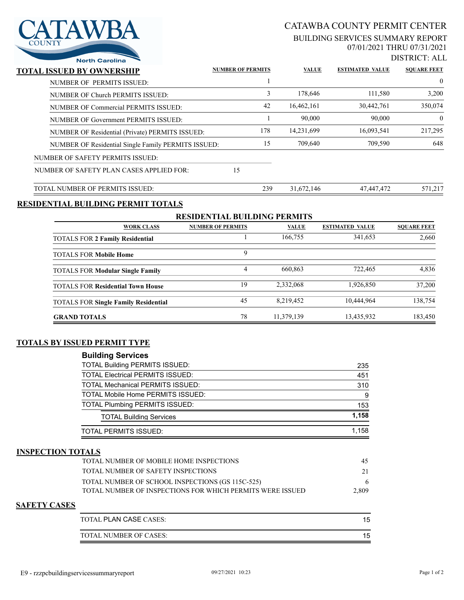

# CATAWBA COUNTY PERMIT CENTER

#### BUILDING SERVICES SUMMARY REPORT 07/01/2021 THRU 07/31/2021

DISTRICT: ALL

| <b>North Carolina</b>                           |    |                                                                 |                                             | DISTNUT, ALI               |
|-------------------------------------------------|----|-----------------------------------------------------------------|---------------------------------------------|----------------------------|
| TOTAL ISSUED BY OWNERSHIP                       |    |                                                                 | <b>ESTIMATED VALUE</b>                      | <b>SOUARE FEET</b>         |
| NUMBER OF PERMITS ISSUED:                       |    |                                                                 |                                             | $\overline{0}$             |
| NUMBER OF Church PERMITS ISSUED:                |    | 178,646                                                         | 111,580                                     | 3,200                      |
| NUMBER OF Commercial PERMITS ISSUED:            |    | 16,462,161                                                      | 30,442,761                                  | 350,074                    |
| NUMBER OF Government PERMITS ISSUED:            |    | 90,000                                                          | 90,000                                      | $\theta$                   |
| NUMBER OF Residential (Private) PERMITS ISSUED: |    | 14,231,699                                                      | 16,093,541                                  | 217,295                    |
|                                                 |    | 709,640                                                         | 709,590                                     | 648                        |
| NUMBER OF SAFETY PERMITS ISSUED:                |    |                                                                 |                                             |                            |
| NUMBER OF SAFETY PLAN CASES APPLIED FOR:        | 15 |                                                                 |                                             |                            |
| TOTAL NUMBER OF PERMITS ISSUED:                 |    |                                                                 | 47,447,472                                  | 571,217                    |
|                                                 |    | 42<br>15<br>NUMBER OF Residential Single Family PERMITS ISSUED: | <b>NUMBER OF PERMITS</b><br>3<br>178<br>239 | <b>VALUE</b><br>31,672,146 |

### **RESIDENTIAL BUILDING PERMIT TOTALS**

| <b>RESIDENTIAL BUILDING PERMITS</b>         |                          |              |                        |                    |  |  |
|---------------------------------------------|--------------------------|--------------|------------------------|--------------------|--|--|
| <b>WORK CLASS</b>                           | <b>NUMBER OF PERMITS</b> | <b>VALUE</b> | <b>ESTIMATED VALUE</b> | <b>SOUARE FEET</b> |  |  |
| <b>TOTALS FOR 2 Family Residential</b>      |                          | 166,755      | 341,653                | 2,660              |  |  |
| <b>TOTALS FOR Mobile Home</b>               | 9                        |              |                        |                    |  |  |
| <b>TOTALS FOR Modular Single Family</b>     | 4                        | 660,863      | 722,465                | 4,836              |  |  |
| <b>TOTALS FOR Residential Town House</b>    | 19                       | 2,332,068    | 1.926.850              | 37,200             |  |  |
| <b>TOTALS FOR Single Family Residential</b> | 45                       | 8,219,452    | 10,444,964             | 138,754            |  |  |
| <b>GRAND TOTALS</b>                         | 78                       | 11,379,139   | 13,435,932             | 183,450            |  |  |

#### **TOTALS BY ISSUED PERMIT TYPE**

| <b>Building Services</b>                 |       |
|------------------------------------------|-------|
| <b>TOTAL Building PERMITS ISSUED:</b>    | 235   |
| <b>TOTAL Electrical PERMITS ISSUED:</b>  | 451   |
| <b>TOTAL Mechanical PERMITS ISSUED:</b>  | 310   |
| <b>TOTAL Mobile Home PERMITS ISSUED:</b> | 9     |
| <b>TOTAL Plumbing PERMITS ISSUED:</b>    | 153   |
| <b>TOTAL Building Services</b>           | 1.158 |
| TOTAL PERMITS ISSUED:                    | 1.158 |

#### **INSPECTION TOTALS**

| TOTAL NUMBER OF MOBILE HOME INSPECTIONS                    | 45    |
|------------------------------------------------------------|-------|
| TOTAL NUMBER OF SAFETY INSPECTIONS                         | 21    |
| TOTAL NUMBER OF SCHOOL INSPECTIONS (GS 115C-525)           |       |
| TOTAL NUMBER OF INSPECTIONS FOR WHICH PERMITS WERE ISSUED. | 2.809 |
|                                                            |       |

#### **SAFETY CASES**

| TOTAL PLAN CASE CASES: |  |
|------------------------|--|
| TOTAL NUMBER OF CASES: |  |